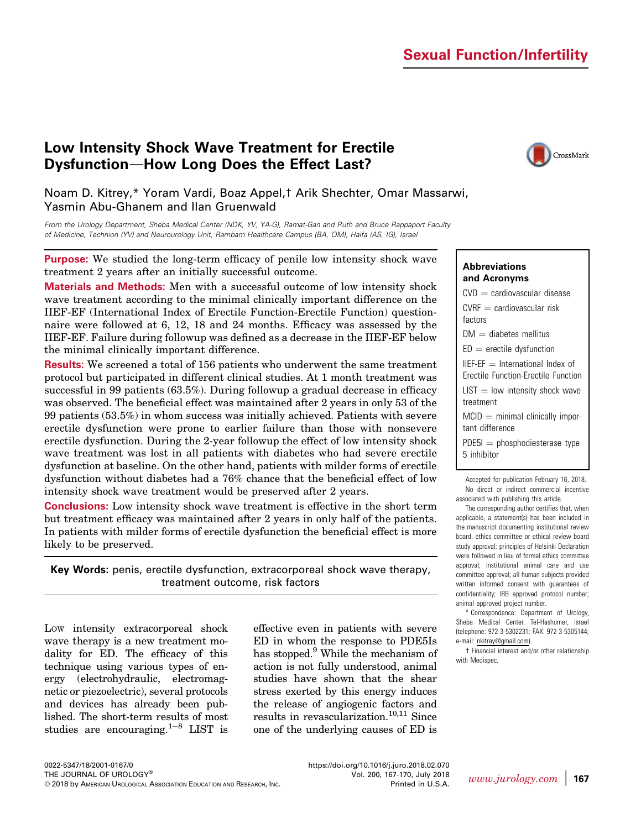# Sexual Function/Infertility

# Low Intensity Shock Wave Treatment for Erectile Dysfunction-How Long Does the Effect Last?



## Noam D. Kitrey,\* Yoram Vardi, Boaz Appel,† Arik Shechter, Omar Massarwi, Yasmin Abu-Ghanem and Ilan Gruenwald

From the Urology Department, Sheba Medical Center (NDK, YV, YA-G), Ramat-Gan and Ruth and Bruce Rappaport Faculty of Medicine, Technion (YV) and Neurourology Unit, Rambam Healthcare Campus (BA, OM), Haifa (AS, IG), Israel

Purpose: We studied the long-term efficacy of penile low intensity shock wave treatment 2 years after an initially successful outcome.

Materials and Methods: Men with a successful outcome of low intensity shock wave treatment according to the minimal clinically important difference on the IIEF-EF (International Index of Erectile Function-Erectile Function) questionnaire were followed at 6, 12, 18 and 24 months. Efficacy was assessed by the IIEF-EF. Failure during followup was defined as a decrease in the IIEF-EF below the minimal clinically important difference.

Results: We screened a total of 156 patients who underwent the same treatment protocol but participated in different clinical studies. At 1 month treatment was successful in 99 patients (63.5%). During followup a gradual decrease in efficacy was observed. The beneficial effect was maintained after 2 years in only 53 of the 99 patients (53.5%) in whom success was initially achieved. Patients with severe erectile dysfunction were prone to earlier failure than those with nonsevere erectile dysfunction. During the 2-year followup the effect of low intensity shock wave treatment was lost in all patients with diabetes who had severe erectile dysfunction at baseline. On the other hand, patients with milder forms of erectile dysfunction without diabetes had a 76% chance that the beneficial effect of low intensity shock wave treatment would be preserved after 2 years.

Conclusions: Low intensity shock wave treatment is effective in the short term but treatment efficacy was maintained after 2 years in only half of the patients. In patients with milder forms of erectile dysfunction the beneficial effect is more likely to be preserved.

Key Words: penis, erectile dysfunction, extracorporeal shock wave therapy, treatment outcome, risk factors

LOW intensity extracorporeal shock wave therapy is a new treatment modality for ED. The efficacy of this technique using various types of energy (electrohydraulic, electromagnetic or piezoelectric), several protocols and devices has already been published. The short-term results of most studies are encouraging.<sup>[1](#page-3-0)-[8](#page-3-0)</sup> LIST is effective even in patients with severe ED in whom the response to PDE5Is has stopped.<sup>[9](#page-3-0)</sup> While the mechanism of action is not fully understood, animal studies have shown that the shear stress exerted by this energy induces the release of angiogenic factors and results in revascularization.<sup>[10,11](#page-3-0)</sup> Since one of the underlying causes of ED is

### Abbreviations and Acronyms

 $CVD =$  cardiovascular disease  $CVRF =$  cardiovascular risk factors  $DM =$  diabetes mellitus  $ED =$  erectile dysfunction  $IIEF-EF = International Index of$ Erectile Function-Erectile Function  $LIST = low$  intensity shock wave treatment  $MCID = minimal clinically import$ tant difference  $PDE5I = phosphodiesterase type$ 5 inhibitor

Accepted for publication February 16, 2018. No direct or indirect commercial incentive associated with publishing this article.

The corresponding author certifies that, when applicable, a statement(s) has been included in the manuscript documenting institutional review board, ethics committee or ethical review board study approval; principles of Helsinki Declaration were followed in lieu of formal ethics committee approval; institutional animal care and use committee approval; all human subjects provided written informed consent with guarantees of confidentiality; IRB approved protocol number; animal approved project number.

\* Correspondence: Department of Urology, Sheba Medical Center, Tel-Hashomer, Israel (telephone: 972-3-5302231; FAX: 972-3-5305144; e-mail: [nkitrey@gmail.com\)](mailto:nkitrey@gmail.com).

[†](#page-3-0) Financial interest and/or other relationship with Medispec.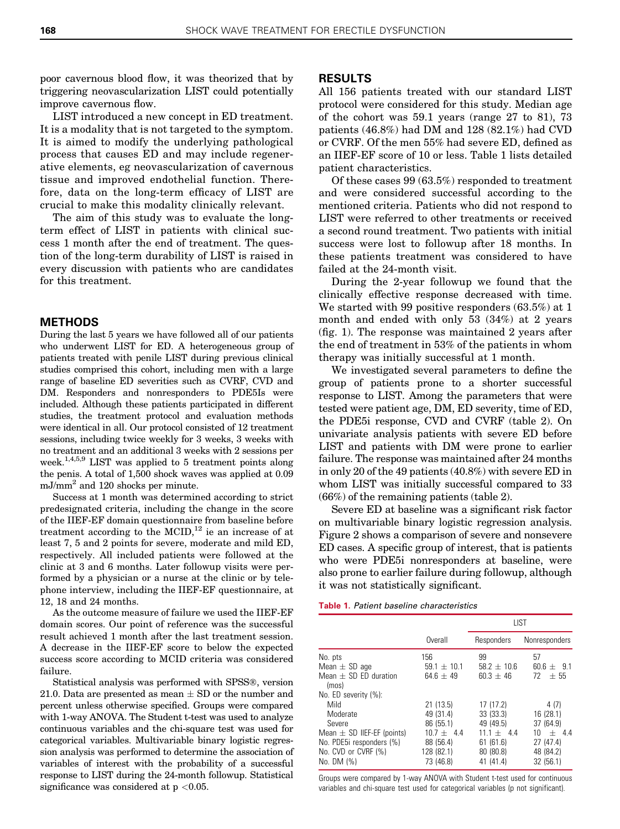poor cavernous blood flow, it was theorized that by triggering neovascularization LIST could potentially improve cavernous flow.

LIST introduced a new concept in ED treatment. It is a modality that is not targeted to the symptom. It is aimed to modify the underlying pathological process that causes ED and may include regenerative elements, eg neovascularization of cavernous tissue and improved endothelial function. Therefore, data on the long-term efficacy of LIST are crucial to make this modality clinically relevant.

The aim of this study was to evaluate the longterm effect of LIST in patients with clinical success 1 month after the end of treatment. The question of the long-term durability of LIST is raised in every discussion with patients who are candidates for this treatment.

#### METHODS

During the last 5 years we have followed all of our patients who underwent LIST for ED. A heterogeneous group of patients treated with penile LIST during previous clinical studies comprised this cohort, including men with a large range of baseline ED severities such as CVRF, CVD and DM. Responders and nonresponders to PDE5Is were included. Although these patients participated in different studies, the treatment protocol and evaluation methods were identical in all. Our protocol consisted of 12 treatment sessions, including twice weekly for 3 weeks, 3 weeks with no treatment and an additional 3 weeks with 2 sessions per week.[1,4,5,9](#page-3-0) LIST was applied to 5 treatment points along the penis. A total of 1,500 shock waves was applied at 0.09 mJ/mm<sup>2</sup> and 120 shocks per minute.

Success at 1 month was determined according to strict predesignated criteria, including the change in the score of the IIEF-EF domain questionnaire from baseline before treatment according to the MCID,<sup>[12](#page-3-0)</sup> ie an increase of at least 7, 5 and 2 points for severe, moderate and mild ED, respectively. All included patients were followed at the clinic at 3 and 6 months. Later followup visits were performed by a physician or a nurse at the clinic or by telephone interview, including the IIEF-EF questionnaire, at 12, 18 and 24 months.

As the outcome measure of failure we used the IIEF-EF domain scores. Our point of reference was the successful result achieved 1 month after the last treatment session. A decrease in the IIEF-EF score to below the expected success score according to MCID criteria was considered failure.

Statistical analysis was performed with SPSS®, version 21.0. Data are presented as mean  $\pm$  SD or the number and percent unless otherwise specified. Groups were compared with 1-way ANOVA. The Student t-test was used to analyze continuous variables and the chi-square test was used for categorical variables. Multivariable binary logistic regression analysis was performed to determine the association of variables of interest with the probability of a successful response to LIST during the 24-month followup. Statistical significance was considered at  $p < 0.05$ .

## RESULTS

All 156 patients treated with our standard LIST protocol were considered for this study. Median age of the cohort was 59.1 years (range 27 to 81), 73 patients (46.8%) had DM and 128 (82.1%) had CVD or CVRF. Of the men 55% had severe ED, defined as an IIEF-EF score of 10 or less. Table 1 lists detailed patient characteristics.

Of these cases 99 (63.5%) responded to treatment and were considered successful according to the mentioned criteria. Patients who did not respond to LIST were referred to other treatments or received a second round treatment. Two patients with initial success were lost to followup after 18 months. In these patients treatment was considered to have failed at the 24-month visit.

During the 2-year followup we found that the clinically effective response decreased with time. We started with 99 positive responders (63.5%) at 1 month and ended with only 53 (34%) at 2 years [\(fig. 1\)](#page-2-0). The response was maintained 2 years after the end of treatment in 53% of the patients in whom therapy was initially successful at 1 month.

We investigated several parameters to define the group of patients prone to a shorter successful response to LIST. Among the parameters that were tested were patient age, DM, ED severity, time of ED, the PDE5i response, CVD and CVRF ([table 2\)](#page-2-0). On univariate analysis patients with severe ED before LIST and patients with DM were prone to earlier failure. The response was maintained after 24 months in only 20 of the 49 patients (40.8%) with severe ED in whom LIST was initially successful compared to 33 (66%) of the remaining patients ([table 2\)](#page-2-0).

Severe ED at baseline was a significant risk factor on multivariable binary logistic regression analysis. [Figure 2](#page-2-0) shows a comparison of severe and nonsevere ED cases. A specific group of interest, that is patients who were PDE5i nonresponders at baseline, were also prone to earlier failure during followup, although it was not statistically significant.

Table 1. Patient baseline characteristics

|                                                                                                                                                           |                                                                                            | LIST                                                                                     |                                                                                       |
|-----------------------------------------------------------------------------------------------------------------------------------------------------------|--------------------------------------------------------------------------------------------|------------------------------------------------------------------------------------------|---------------------------------------------------------------------------------------|
|                                                                                                                                                           | Overall                                                                                    | Responders                                                                               | Nonresponders                                                                         |
| No. pts<br>Mean $\pm$ SD age<br>Mean $+$ SD ED duration<br>(mos)                                                                                          | 156<br>$59.1 + 10.1$<br>$64.6 + 49$                                                        | 99<br>$58.2 \pm 10.6$<br>$60.3 + 46$                                                     | 57<br>$60.6 + 9.1$<br>72<br>$+55$                                                     |
| No. ED severity $(\%)$ :<br>Mild<br>Moderate<br>Severe<br>Mean $\pm$ SD IIEF-EF (points)<br>No. PDE5i responders (%)<br>No. CVD or CVRF (%)<br>No. DM (%) | 21(13.5)<br>49 (31.4)<br>86 (55.1)<br>$10.7 + 4.4$<br>88 (56.4)<br>128 (82.1)<br>73 (46.8) | 17(17.2)<br>33 (33.3)<br>49 (49.5)<br>$11.1 + 4.4$<br>61(61.6)<br>80 (80.8)<br>41 (41.4) | 4(7)<br>16 (28.1)<br>37 (64.9)<br>$+ 44$<br>10<br>27 (47.4)<br>48 (84.2)<br>32 (56.1) |

Groups were compared by 1-way ANOVA with Student t-test used for continuous variables and chi-square test used for categorical variables (p not significant).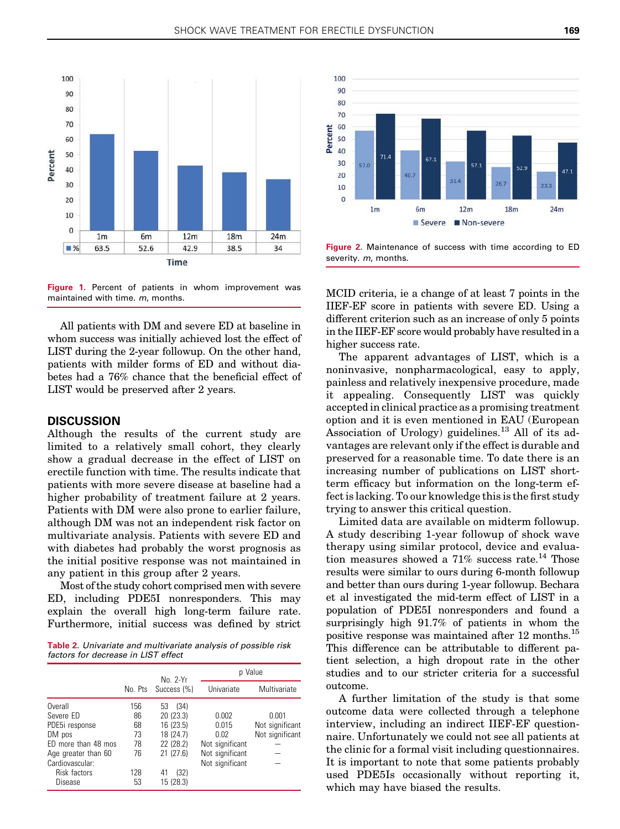<span id="page-2-0"></span>

Figure 1. Percent of patients in whom improvement was maintained with time. m, months.

All patients with DM and severe ED at baseline in whom success was initially achieved lost the effect of LIST during the 2-year followup. On the other hand, patients with milder forms of ED and without diabetes had a 76% chance that the beneficial effect of LIST would be preserved after 2 years.

### **DISCUSSION**

Although the results of the current study are limited to a relatively small cohort, they clearly show a gradual decrease in the effect of LIST on erectile function with time. The results indicate that patients with more severe disease at baseline had a higher probability of treatment failure at 2 years. Patients with DM were also prone to earlier failure, although DM was not an independent risk factor on multivariate analysis. Patients with severe ED and with diabetes had probably the worst prognosis as the initial positive response was not maintained in any patient in this group after 2 years.

Most of the study cohort comprised men with severe ED, including PDE5I nonresponders. This may explain the overall high long-term failure rate. Furthermore, initial success was defined by strict

Table 2. Univariate and multivariate analysis of possible risk factors for decrease in LIST effect

|                     | No. 2-Yr |                     | p Value         |                 |
|---------------------|----------|---------------------|-----------------|-----------------|
|                     |          | No. Pts Success (%) | Univariate      | Multivariate    |
| Overall             | 156      | (34)<br>53          |                 |                 |
| Severe ED           | 86       | 20 (23.3)           | 0.002           | 0.001           |
| PDE5i response      | 68       | 16 (23.5)           | 0.015           | Not significant |
| DM pos              | 73       | 18 (24.7)           | 0.02            | Not significant |
| ED more than 48 mos | 78       | 22 (28.2)           | Not significant |                 |
| Age greater than 60 | 76       | 21(27.6)            | Not significant |                 |
| Cardiovascular:     |          |                     | Not significant |                 |
| Risk factors        | 128      | (32)<br>41          |                 |                 |
| Disease             | 53       | 15 (28.3)           |                 |                 |



Figure 2. Maintenance of success with time according to ED severity. m, months.

MCID criteria, ie a change of at least 7 points in the IIEF-EF score in patients with severe ED. Using a different criterion such as an increase of only 5 points in the IIEF-EF score would probably have resulted in a higher success rate.

The apparent advantages of LIST, which is a noninvasive, nonpharmacological, easy to apply, painless and relatively inexpensive procedure, made it appealing. Consequently LIST was quickly accepted in clinical practice as a promising treatment option and it is even mentioned in EAU (European Association of Urology) guidelines.<sup>[13](#page-3-0)</sup> All of its advantages are relevant only if the effect is durable and preserved for a reasonable time. To date there is an increasing number of publications on LIST shortterm efficacy but information on the long-term effect is lacking. To our knowledge this is the first study trying to answer this critical question.

Limited data are available on midterm followup. A study describing 1-year followup of shock wave therapy using similar protocol, device and evaluation measures showed a  $71\%$  success rate.<sup>[14](#page-3-0)</sup> Those results were similar to ours during 6-month followup and better than ours during 1-year followup. Bechara et al investigated the mid-term effect of LIST in a population of PDE5I nonresponders and found a surprisingly high 91.7% of patients in whom the positive response was maintained after 12 months.<sup>[15](#page-3-0)</sup> This difference can be attributable to different patient selection, a high dropout rate in the other studies and to our stricter criteria for a successful outcome.

A further limitation of the study is that some outcome data were collected through a telephone interview, including an indirect IIEF-EF questionnaire. Unfortunately we could not see all patients at the clinic for a formal visit including questionnaires. It is important to note that some patients probably used PDE5Is occasionally without reporting it, which may have biased the results.